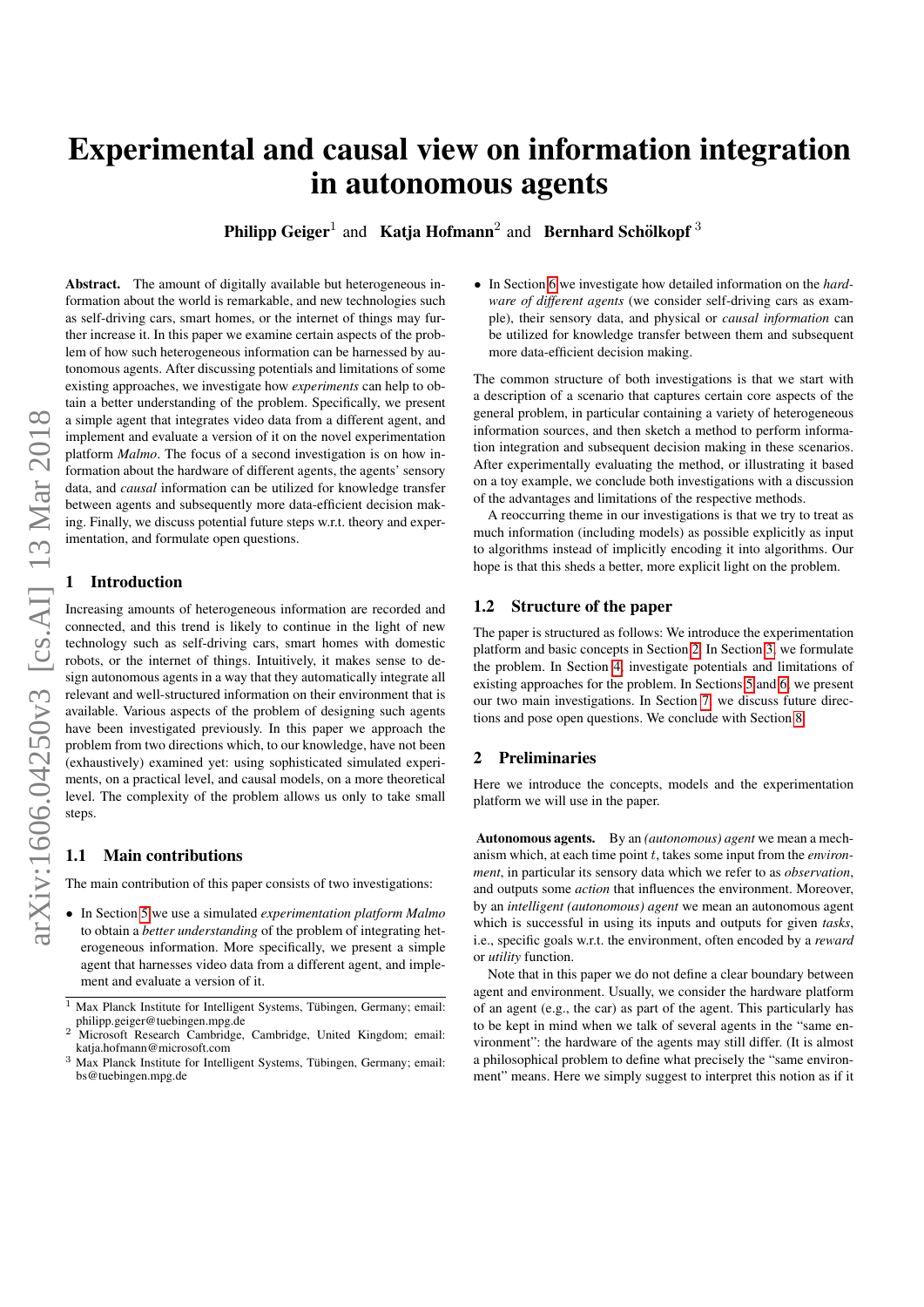# Experimental and causal view on information integration in autonomous agents

**Philipp Geiger**<sup>1</sup> and Katja Hofmann<sup>2</sup> and Bernhard Schölkopf<sup>3</sup>

Abstract. The amount of digitally available but heterogeneous information about the world is remarkable, and new technologies such as self-driving cars, smart homes, or the internet of things may further increase it. In this paper we examine certain aspects of the problem of how such heterogeneous information can be harnessed by autonomous agents. After discussing potentials and limitations of some existing approaches, we investigate how *experiments* can help to obtain a better understanding of the problem. Specifically, we present a simple agent that integrates video data from a different agent, and implement and evaluate a version of it on the novel experimentation platform *Malmo*. The focus of a second investigation is on how information about the hardware of different agents, the agents' sensory data, and *causal* information can be utilized for knowledge transfer between agents and subsequently more data-efficient decision making. Finally, we discuss potential future steps w.r.t. theory and experimentation, and formulate open questions.

# **Introduction**

Increasing amounts of heterogeneous information are recorded and connected, and this trend is likely to continue in the light of new technology such as self-driving cars, smart homes with domestic robots, or the internet of things. Intuitively, it makes sense to design autonomous agents in a way that they automatically integrate all relevant and well-structured information on their environment that is available. Various aspects of the problem of designing such agents have been investigated previously. In this paper we approach the problem from two directions which, to our knowledge, have not been (exhaustively) examined yet: using sophisticated simulated experiments, on a practical level, and causal models, on a more theoretical level. The complexity of the problem allows us only to take small steps.

# 1.1 Main contributions

The main contribution of this paper consists of two investigations:

• In Section [5](#page-3-0) we use a simulated *experimentation platform Malmo* to obtain a *better understanding* of the problem of integrating heterogeneous information. More specifically, we present a simple agent that harnesses video data from a different agent, and implement and evaluate a version of it.

• In Section [6](#page-5-0) we investigate how detailed information on the *hardware of different agents* (we consider self-driving cars as example), their sensory data, and physical or *causal information* can be utilized for knowledge transfer between them and subsequent more data-efficient decision making.

The common structure of both investigations is that we start with a description of a scenario that captures certain core aspects of the general problem, in particular containing a variety of heterogeneous information sources, and then sketch a method to perform information integration and subsequent decision making in these scenarios. After experimentally evaluating the method, or illustrating it based on a toy example, we conclude both investigations with a discussion of the advantages and limitations of the respective methods.

A reoccurring theme in our investigations is that we try to treat as much information (including models) as possible explicitly as input to algorithms instead of implicitly encoding it into algorithms. Our hope is that this sheds a better, more explicit light on the problem.

# 1.2 Structure of the paper

The paper is structured as follows: We introduce the experimentation platform and basic concepts in Section [2.](#page-0-0) In Section [3,](#page-1-0) we formulate the problem. In Section [4,](#page-2-0) investigate potentials and limitations of existing approaches for the problem. In Sections [5](#page-3-0) and [6,](#page-5-0) we present our two main investigations. In Section [7,](#page-6-0) we discuss future directions and pose open questions. We conclude with Section [8.](#page-7-0)

# <span id="page-0-0"></span>2 Preliminaries

Here we introduce the concepts, models and the experimentation platform we will use in the paper.

Autonomous agents. By an *(autonomous) agent* we mean a mechanism which, at each time point t, takes some input from the *environment*, in particular its sensory data which we refer to as *observation*, and outputs some *action* that influences the environment. Moreover, by an *intelligent (autonomous) agent* we mean an autonomous agent which is successful in using its inputs and outputs for given *tasks*, i.e., specific goals w.r.t. the environment, often encoded by a *reward* or *utility* function.

Note that in this paper we do not define a clear boundary between agent and environment. Usually, we consider the hardware platform of an agent (e.g., the car) as part of the agent. This particularly has to be kept in mind when we talk of several agents in the "same environment": the hardware of the agents may still differ. (It is almost a philosophical problem to define what precisely the "same environment" means. Here we simply suggest to interpret this notion as if it

 $1$  Max Planck Institute for Intelligent Systems, Tübingen, Germany; email: philipp.geiger@tuebingen.mpg.de

<sup>&</sup>lt;sup>2</sup> Microsoft Research Cambridge, Cambridge, United Kingdom; email: katja.hofmann@microsoft.com

<sup>&</sup>lt;sup>3</sup> Max Planck Institute for Intelligent Systems, Tübingen, Germany; email: bs@tuebingen.mpg.de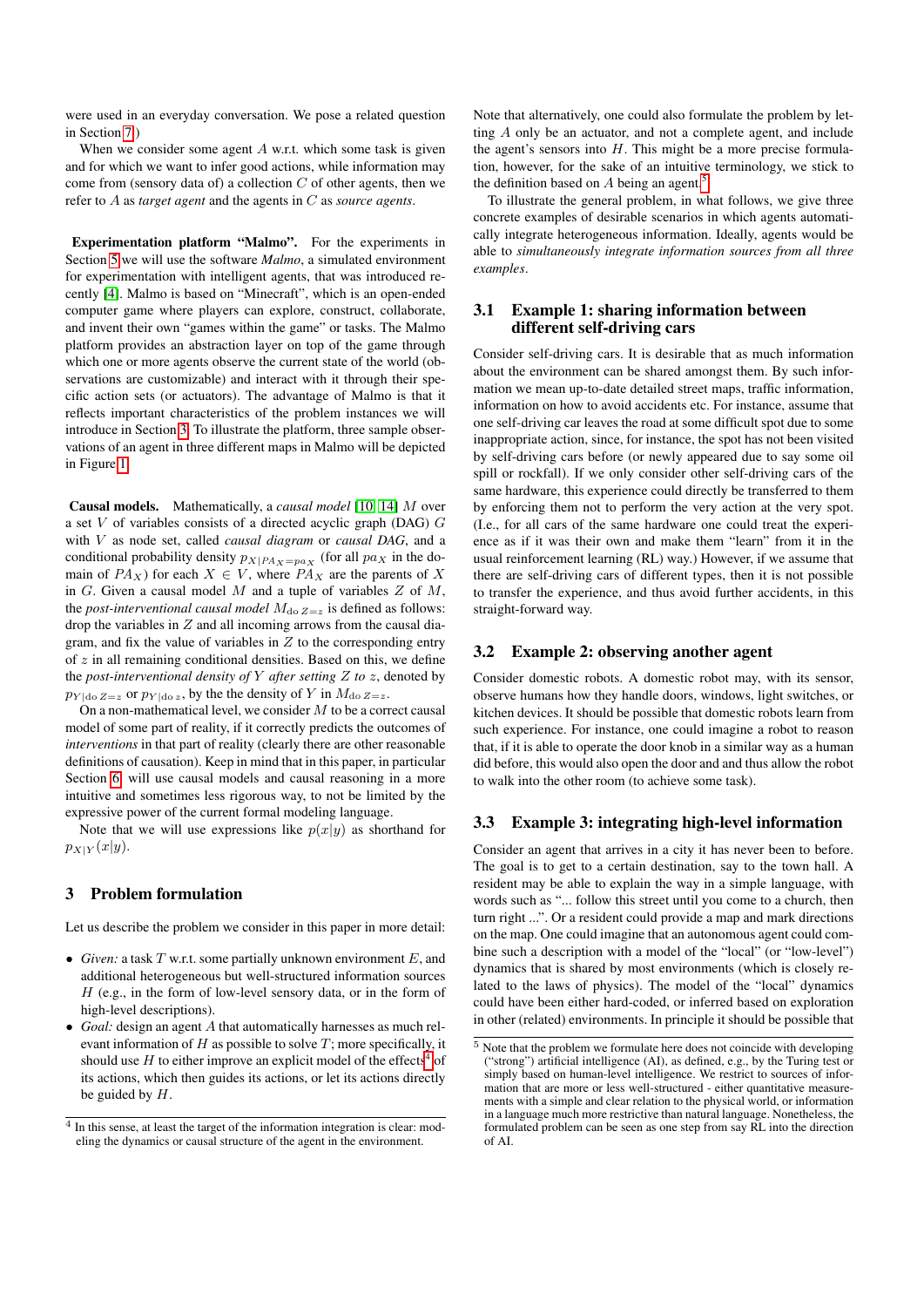were used in an everyday conversation. We pose a related question in Section [7.](#page-6-0))

When we consider some agent  $A$  w.r.t. which some task is given and for which we want to infer good actions, while information may come from (sensory data of) a collection  $C$  of other agents, then we refer to A as *target agent* and the agents in C as *source agents*.

Experimentation platform "Malmo". For the experiments in Section [5](#page-3-0) we will use the software *Malmo*, a simulated environment for experimentation with intelligent agents, that was introduced recently [\[4\]](#page-7-1). Malmo is based on "Minecraft", which is an open-ended computer game where players can explore, construct, collaborate, and invent their own "games within the game" or tasks. The Malmo platform provides an abstraction layer on top of the game through which one or more agents observe the current state of the world (observations are customizable) and interact with it through their specific action sets (or actuators). The advantage of Malmo is that it reflects important characteristics of the problem instances we will introduce in Section [3.](#page-1-0) To illustrate the platform, three sample observations of an agent in three different maps in Malmo will be depicted in Figure [1.](#page-4-0)

Causal models. Mathematically, a *causal model* [\[10,](#page-7-2) [14\]](#page-7-3) M over a set  $V$  of variables consists of a directed acyclic graph (DAG)  $G$ with V as node set, called *causal diagram* or *causal DAG*, and a conditional probability density  $p_{X|PA_X=p a_X}$  (for all  $pa_X$  in the domain of  $PA_X$ ) for each  $X \in V$ , where  $PA_X$  are the parents of X in  $G$ . Given a causal model  $M$  and a tuple of variables  $Z$  of  $M$ , the *post-interventional causal model*  $M_{\text{do }Z=z}$  is defined as follows: drop the variables in  $Z$  and all incoming arrows from the causal diagram, and fix the value of variables in  $Z$  to the corresponding entry of  $z$  in all remaining conditional densities. Based on this, we define the *post-interventional density of* Y *after setting* Z *to* z, denoted by  $p_{Y | do Z=z}$  or  $p_{Y | do z}$ , by the the density of Y in  $M_{do Z=z}$ .

On a non-mathematical level, we consider  $M$  to be a correct causal model of some part of reality, if it correctly predicts the outcomes of *interventions* in that part of reality (clearly there are other reasonable definitions of causation). Keep in mind that in this paper, in particular Section [6,](#page-5-0) will use causal models and causal reasoning in a more intuitive and sometimes less rigorous way, to not be limited by the expressive power of the current formal modeling language.

Note that we will use expressions like  $p(x|y)$  as shorthand for  $p_{X|Y}(x|y).$ 

# <span id="page-1-0"></span>3 Problem formulation

Let us describe the problem we consider in this paper in more detail:

- *Given:* a task  $T$  w.r.t. some partially unknown environment  $E$ , and additional heterogeneous but well-structured information sources  $H$  (e.g., in the form of low-level sensory data, or in the form of high-level descriptions).
- *Goal:* design an agent A that automatically harnesses as much relevant information of  $H$  as possible to solve  $T$ ; more specifically, it should use  $H$  to either improve an explicit model of the effects<sup>[4](#page-1-1)</sup> of its actions, which then guides its actions, or let its actions directly be guided by  $H$ .

Note that alternatively, one could also formulate the problem by letting A only be an actuator, and not a complete agent, and include the agent's sensors into  $H$ . This might be a more precise formulation, however, for the sake of an intuitive terminology, we stick to the definition based on A being an agent.<sup>[5](#page-1-2)</sup>

To illustrate the general problem, in what follows, we give three concrete examples of desirable scenarios in which agents automatically integrate heterogeneous information. Ideally, agents would be able to *simultaneously integrate information sources from all three examples*.

### <span id="page-1-4"></span>3.1 Example 1: sharing information between different self-driving cars

Consider self-driving cars. It is desirable that as much information about the environment can be shared amongst them. By such information we mean up-to-date detailed street maps, traffic information, information on how to avoid accidents etc. For instance, assume that one self-driving car leaves the road at some difficult spot due to some inappropriate action, since, for instance, the spot has not been visited by self-driving cars before (or newly appeared due to say some oil spill or rockfall). If we only consider other self-driving cars of the same hardware, this experience could directly be transferred to them by enforcing them not to perform the very action at the very spot. (I.e., for all cars of the same hardware one could treat the experience as if it was their own and make them "learn" from it in the usual reinforcement learning (RL) way.) However, if we assume that there are self-driving cars of different types, then it is not possible to transfer the experience, and thus avoid further accidents, in this straight-forward way.

#### <span id="page-1-5"></span>3.2 Example 2: observing another agent

Consider domestic robots. A domestic robot may, with its sensor, observe humans how they handle doors, windows, light switches, or kitchen devices. It should be possible that domestic robots learn from such experience. For instance, one could imagine a robot to reason that, if it is able to operate the door knob in a similar way as a human did before, this would also open the door and and thus allow the robot to walk into the other room (to achieve some task).

# <span id="page-1-3"></span>3.3 Example 3: integrating high-level information

Consider an agent that arrives in a city it has never been to before. The goal is to get to a certain destination, say to the town hall. A resident may be able to explain the way in a simple language, with words such as "... follow this street until you come to a church, then turn right ...". Or a resident could provide a map and mark directions on the map. One could imagine that an autonomous agent could combine such a description with a model of the "local" (or "low-level") dynamics that is shared by most environments (which is closely related to the laws of physics). The model of the "local" dynamics could have been either hard-coded, or inferred based on exploration in other (related) environments. In principle it should be possible that

<span id="page-1-1"></span><sup>&</sup>lt;sup>4</sup> In this sense, at least the target of the information integration is clear: modeling the dynamics or causal structure of the agent in the environment.

<span id="page-1-2"></span> $\overline{5}$  Note that the problem we formulate here does not coincide with developing ("strong") artificial intelligence (AI), as defined, e.g., by the Turing test or simply based on human-level intelligence. We restrict to sources of information that are more or less well-structured - either quantitative measurements with a simple and clear relation to the physical world, or information in a language much more restrictive than natural language. Nonetheless, the formulated problem can be seen as one step from say RL into the direction of AI.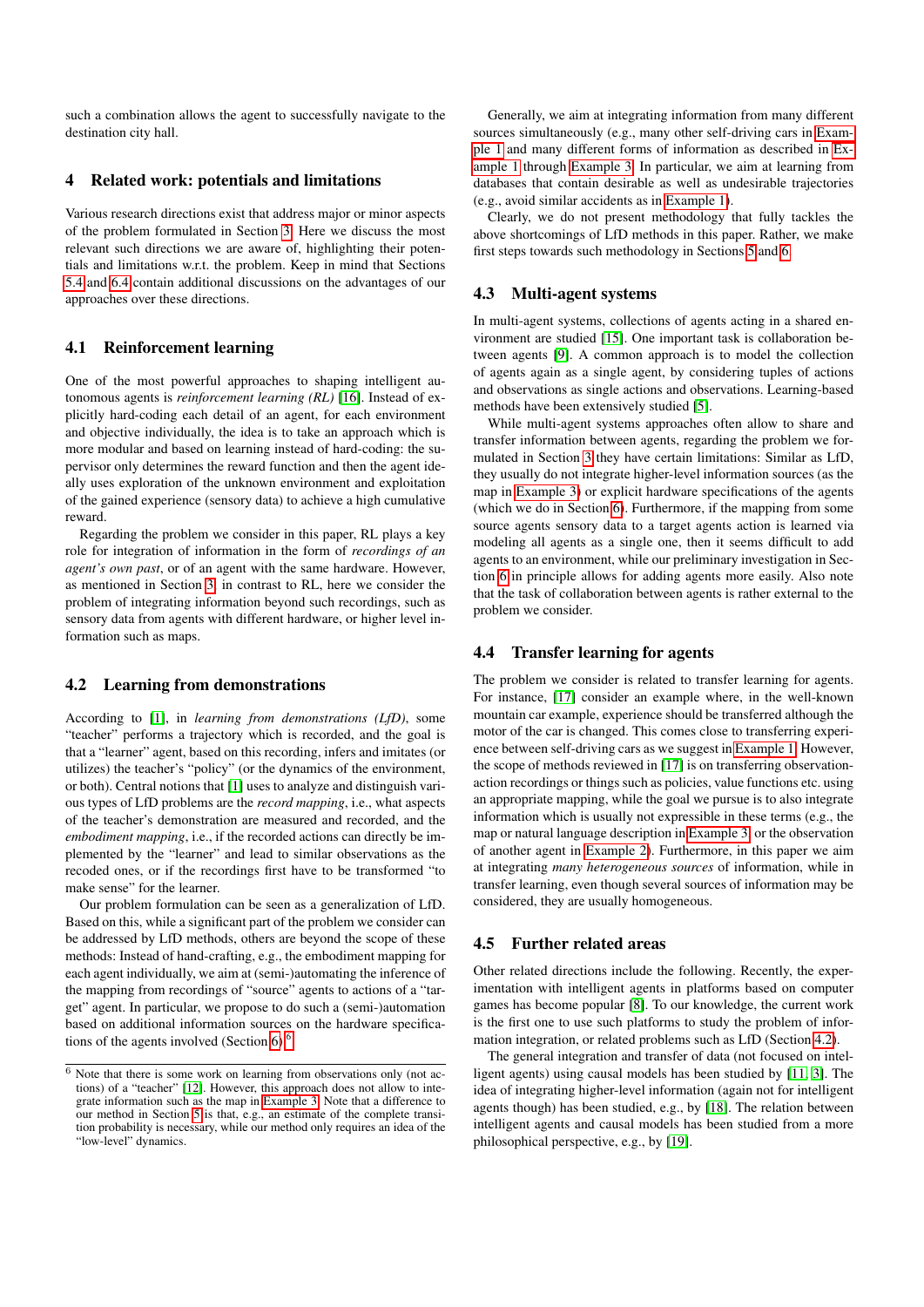such a combination allows the agent to successfully navigate to the destination city hall.

#### <span id="page-2-0"></span>4 Related work: potentials and limitations

Various research directions exist that address major or minor aspects of the problem formulated in Section [3.](#page-1-0) Here we discuss the most relevant such directions we are aware of, highlighting their potentials and limitations w.r.t. the problem. Keep in mind that Sections [5.4](#page-4-1) and [6.4](#page-6-1) contain additional discussions on the advantages of our approaches over these directions.

#### 4.1 Reinforcement learning

One of the most powerful approaches to shaping intelligent autonomous agents is *reinforcement learning (RL)* [\[16\]](#page-7-4). Instead of explicitly hard-coding each detail of an agent, for each environment and objective individually, the idea is to take an approach which is more modular and based on learning instead of hard-coding: the supervisor only determines the reward function and then the agent ideally uses exploration of the unknown environment and exploitation of the gained experience (sensory data) to achieve a high cumulative reward.

Regarding the problem we consider in this paper, RL plays a key role for integration of information in the form of *recordings of an agent's own past*, or of an agent with the same hardware. However, as mentioned in Section [3,](#page-1-0) in contrast to RL, here we consider the problem of integrating information beyond such recordings, such as sensory data from agents with different hardware, or higher level information such as maps.

# <span id="page-2-2"></span>4.2 Learning from demonstrations

According to [\[1\]](#page-7-5), in *learning from demonstrations (LfD)*, some "teacher" performs a trajectory which is recorded, and the goal is that a "learner" agent, based on this recording, infers and imitates (or utilizes) the teacher's "policy" (or the dynamics of the environment, or both). Central notions that [\[1\]](#page-7-5) uses to analyze and distinguish various types of LfD problems are the *record mapping*, i.e., what aspects of the teacher's demonstration are measured and recorded, and the *embodiment mapping*, i.e., if the recorded actions can directly be implemented by the "learner" and lead to similar observations as the recoded ones, or if the recordings first have to be transformed "to make sense" for the learner.

Our problem formulation can be seen as a generalization of LfD. Based on this, while a significant part of the problem we consider can be addressed by LfD methods, others are beyond the scope of these methods: Instead of hand-crafting, e.g., the embodiment mapping for each agent individually, we aim at (semi-)automating the inference of the mapping from recordings of "source" agents to actions of a "target" agent. In particular, we propose to do such a (semi-)automation based on additional information sources on the hardware specifica-tions of the agents involved (Section [6\)](#page-5-0).<sup>[6](#page-2-1)</sup>

Generally, we aim at integrating information from many different sources simultaneously (e.g., many other self-driving cars in [Exam](#page-1-4)[ple 1](#page-1-4) and many different forms of information as described in [Ex](#page-1-4)[ample 1](#page-1-4) through [Example 3.](#page-1-3) In particular, we aim at learning from databases that contain desirable as well as undesirable trajectories (e.g., avoid similar accidents as in [Example 1\)](#page-1-4).

Clearly, we do not present methodology that fully tackles the above shortcomings of LfD methods in this paper. Rather, we make first steps towards such methodology in Sections [5](#page-3-0) and [6.](#page-5-0)

#### <span id="page-2-4"></span>4.3 Multi-agent systems

In multi-agent systems, collections of agents acting in a shared environment are studied [\[15\]](#page-7-7). One important task is collaboration between agents [\[9\]](#page-7-8). A common approach is to model the collection of agents again as a single agent, by considering tuples of actions and observations as single actions and observations. Learning-based methods have been extensively studied [\[5\]](#page-7-9).

While multi-agent systems approaches often allow to share and transfer information between agents, regarding the problem we formulated in Section [3](#page-1-0) they have certain limitations: Similar as LfD, they usually do not integrate higher-level information sources (as the map in [Example 3\)](#page-1-3) or explicit hardware specifications of the agents (which we do in Section [6\)](#page-5-0). Furthermore, if the mapping from some source agents sensory data to a target agents action is learned via modeling all agents as a single one, then it seems difficult to add agents to an environment, while our preliminary investigation in Section [6](#page-5-0) in principle allows for adding agents more easily. Also note that the task of collaboration between agents is rather external to the problem we consider.

# <span id="page-2-3"></span>4.4 Transfer learning for agents

The problem we consider is related to transfer learning for agents. For instance, [\[17\]](#page-7-10) consider an example where, in the well-known mountain car example, experience should be transferred although the motor of the car is changed. This comes close to transferring experience between self-driving cars as we suggest in [Example 1.](#page-1-4) However, the scope of methods reviewed in [\[17\]](#page-7-10) is on transferring observationaction recordings or things such as policies, value functions etc. using an appropriate mapping, while the goal we pursue is to also integrate information which is usually not expressible in these terms (e.g., the map or natural language description in [Example 3,](#page-1-3) or the observation of another agent in [Example 2\)](#page-1-5). Furthermore, in this paper we aim at integrating *many heterogeneous sources* of information, while in transfer learning, even though several sources of information may be considered, they are usually homogeneous.

#### 4.5 Further related areas

Other related directions include the following. Recently, the experimentation with intelligent agents in platforms based on computer games has become popular [\[8\]](#page-7-11). To our knowledge, the current work is the first one to use such platforms to study the problem of information integration, or related problems such as LfD (Section [4.2\)](#page-2-2).

The general integration and transfer of data (not focused on intelligent agents) using causal models has been studied by [\[11,](#page-7-12) [3\]](#page-7-13). The idea of integrating higher-level information (again not for intelligent agents though) has been studied, e.g., by [\[18\]](#page-7-14). The relation between intelligent agents and causal models has been studied from a more philosophical perspective, e.g., by [\[19\]](#page-7-15).

<span id="page-2-1"></span> $6$  Note that there is some work on learning from observations only (not actions) of a "teacher" [\[12\]](#page-7-6). However, this approach does not allow to integrate information such as the map in [Example 3.](#page-1-3) Note that a difference to our method in Section [5](#page-3-0) is that, e.g., an estimate of the complete transition probability is necessary, while our method only requires an idea of the "low-level" dynamics.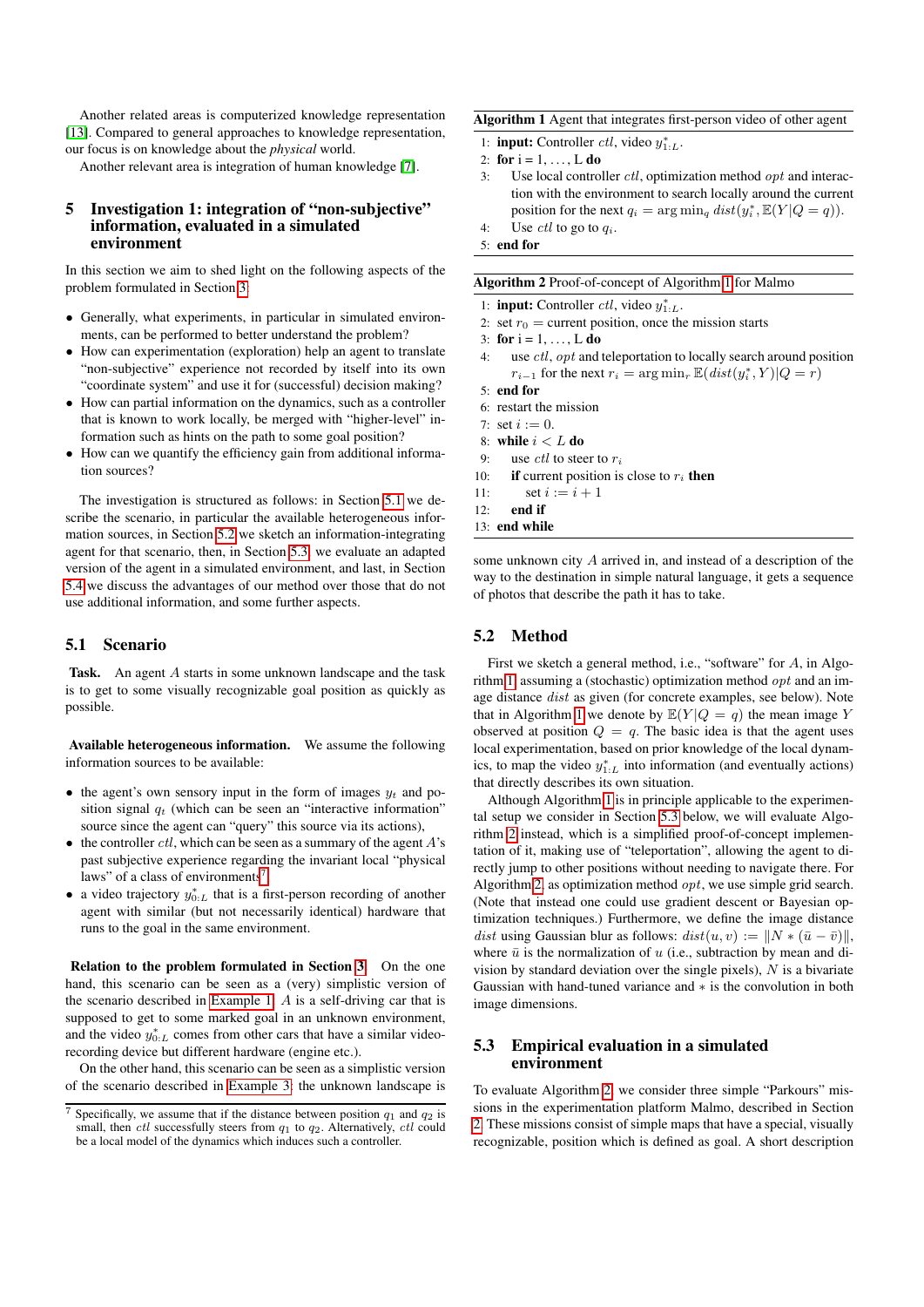Another related areas is computerized knowledge representation [\[13\]](#page-7-16). Compared to general approaches to knowledge representation, our focus is on knowledge about the *physical* world.

Another relevant area is integration of human knowledge [\[7\]](#page-7-17).

## <span id="page-3-0"></span>5 Investigation 1: integration of "non-subjective" information, evaluated in a simulated environment

In this section we aim to shed light on the following aspects of the problem formulated in Section [3:](#page-1-0)

- Generally, what experiments, in particular in simulated environments, can be performed to better understand the problem?
- How can experimentation (exploration) help an agent to translate "non-subjective" experience not recorded by itself into its own "coordinate system" and use it for (successful) decision making?
- How can partial information on the dynamics, such as a controller that is known to work locally, be merged with "higher-level" information such as hints on the path to some goal position?
- How can we quantify the efficiency gain from additional information sources?

The investigation is structured as follows: in Section [5.1](#page-3-1) we describe the scenario, in particular the available heterogeneous information sources, in Section [5.2](#page-3-2) we sketch an information-integrating agent for that scenario, then, in Section [5.3,](#page-3-3) we evaluate an adapted version of the agent in a simulated environment, and last, in Section [5.4](#page-4-1) we discuss the advantages of our method over those that do not use additional information, and some further aspects.

# <span id="page-3-1"></span>5.1 Scenario

Task. An agent A starts in some unknown landscape and the task is to get to some visually recognizable goal position as quickly as possible.

Available heterogeneous information. We assume the following information sources to be available:

- the agent's own sensory input in the form of images  $y_t$  and position signal  $q_t$  (which can be seen an "interactive information" source since the agent can "query" this source via its actions),
- $\bullet$  the controller *ctl*, which can be seen as a summary of the agent  $A$ 's past subjective experience regarding the invariant local "physical laws" of a class of environments<sup>[7](#page-3-4)</sup>,
- a video trajectory  $y_{0:L}^*$  that is a first-person recording of another agent with similar (but not necessarily identical) hardware that runs to the goal in the same environment.

Relation to the problem formulated in Section [3.](#page-1-0) On the one hand, this scenario can be seen as a (very) simplistic version of the scenario described in [Example 1:](#page-1-4)  $A$  is a self-driving car that is supposed to get to some marked goal in an unknown environment, and the video  $y_{0:L}^*$  comes from other cars that have a similar videorecording device but different hardware (engine etc.).

On the other hand, this scenario can be seen as a simplistic version of the scenario described in [Example 3:](#page-1-3) the unknown landscape is <span id="page-3-5"></span>Algorithm 1 Agent that integrates first-person video of other agent

- 1: **input:** Controller *ctl*, video  $y_{1:L}^*$ .
- 2: for  $i = 1, \ldots, L$  do
- 3: Use local controller ctl, optimization method opt and interaction with the environment to search locally around the current position for the next  $q_i = \arg \min_q dist(y_i^*, \mathbb{E}(Y | Q = q)).$
- 4: Use  $\textit{ctl}$  to go to  $q_i$ . 5: end for

<span id="page-3-6"></span>

| Algorithm 2 Proof-of-concept of Algorithm 1 for Malmo |  |  |
|-------------------------------------------------------|--|--|

- 1: **input:** Controller *ctl*, video  $y_{1:L}^*$ .
- 2: set  $r_0$  = current position, once the mission starts
- 3: for  $i = 1, ..., L$  do
- use  $ctl$ ,  $opt$  and teleportation to locally search around position  $r_{i-1}$  for the next  $r_i = \arg \min_r \mathbb{E}(dist(y_i^*, Y)|Q = r)$
- 5: end for
- 6: restart the mission
- <span id="page-3-7"></span>7: set  $i := 0$ .
- 8: while  $i < L$  do
- 9: use *ctl* to steer to  $r_i$
- 10: **if** current position is close to  $r_i$  then
- 11: set  $i := i + 1$
- $12<sup>°</sup>$  end if

13: end while

some unknown city A arrived in, and instead of a description of the way to the destination in simple natural language, it gets a sequence of photos that describe the path it has to take.

# <span id="page-3-2"></span>5.2 Method

First we sketch a general method, i.e., "software" for A, in Algo-rithm [1,](#page-3-5) assuming a (stochastic) optimization method  $opt$  and an image distance dist as given (for concrete examples, see below). Note that in Algorithm [1](#page-3-5) we denote by  $\mathbb{E}(Y|Q = q)$  the mean image Y observed at position  $Q = q$ . The basic idea is that the agent uses local experimentation, based on prior knowledge of the local dynamics, to map the video  $y_{1:L}^*$  into information (and eventually actions) that directly describes its own situation.

Although Algorithm [1](#page-3-5) is in principle applicable to the experimental setup we consider in Section [5.3](#page-3-3) below, we will evaluate Algorithm [2](#page-3-6) instead, which is a simplified proof-of-concept implementation of it, making use of "teleportation", allowing the agent to directly jump to other positions without needing to navigate there. For Algorithm [2,](#page-3-6) as optimization method  $opt$ , we use simple grid search. (Note that instead one could use gradient descent or Bayesian optimization techniques.) Furthermore, we define the image distance dist using Gaussian blur as follows:  $dist(u, v) := ||N * (\bar{u} - \bar{v})||$ , where  $\bar{u}$  is the normalization of u (i.e., subtraction by mean and division by standard deviation over the single pixels),  $N$  is a bivariate Gaussian with hand-tuned variance and ∗ is the convolution in both image dimensions.

# <span id="page-3-3"></span>5.3 Empirical evaluation in a simulated environment

To evaluate Algorithm [2,](#page-3-6) we consider three simple "Parkours" missions in the experimentation platform Malmo, described in Section [2.](#page-0-0) These missions consist of simple maps that have a special, visually recognizable, position which is defined as goal. A short description

<span id="page-3-4"></span>Specifically, we assume that if the distance between position  $q_1$  and  $q_2$  is small, then ctl successfully steers from  $q_1$  to  $q_2$ . Alternatively, ctl could be a local model of the dynamics which induces such a controller.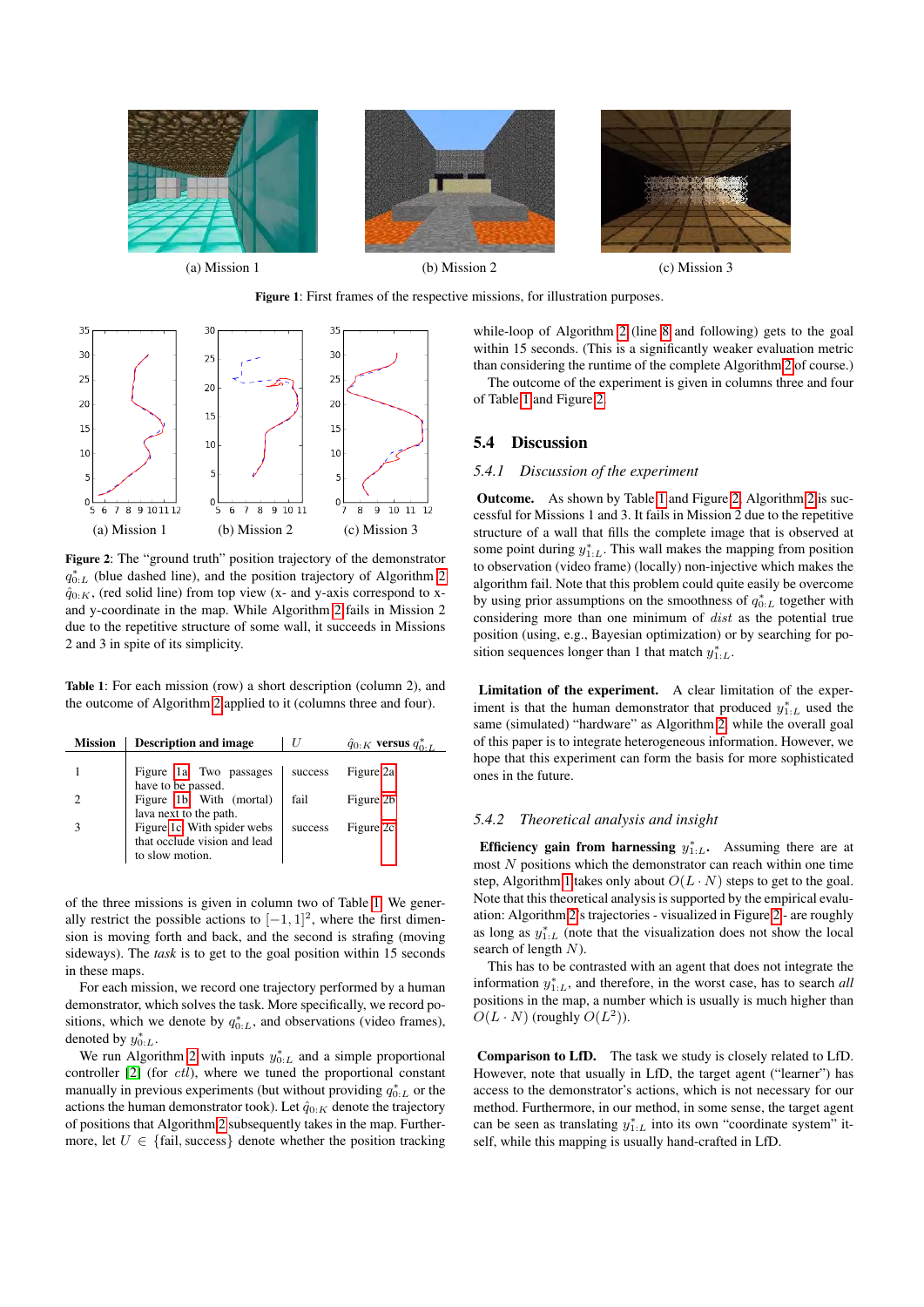<span id="page-4-0"></span>



<span id="page-4-2"></span>

Figure 2: The "ground truth" position trajectory of the demonstrator  $q_{0:L}^*$  (blue dashed line), and the position trajectory of Algorithm [2](#page-3-6)  $\hat{q}_{0:K}$ , (red solid line) from top view (x- and y-axis correspond to xand y-coordinate in the map. While Algorithm [2](#page-3-6) fails in Mission 2 due to the repetitive structure of some wall, it succeeds in Missions 2 and 3 in spite of its simplicity.

<span id="page-4-3"></span>Table 1: For each mission (row) a short description (column 2), and the outcome of Algorithm [2](#page-3-6) applied to it (columns three and four).

| <b>Mission</b> | <b>Description and image</b>                          |         | $\hat{q}_{0:K}$ versus $q_{0:L}^*$ |
|----------------|-------------------------------------------------------|---------|------------------------------------|
|                | Figure 1a. Two passages                               | success | Figure 2a                          |
|                | have to be passed.<br>Figure 1b. With (mortal)        | fail    | Figure 2b                          |
|                | lava next to the path.<br>Figure 1c. With spider webs | success | Figure 2c                          |
|                | that occlude vision and lead<br>to slow motion.       |         |                                    |

of the three missions is given in column two of Table [1.](#page-4-3) We generally restrict the possible actions to  $[-1, 1]^2$ , where the first dimension is moving forth and back, and the second is strafing (moving sideways). The *task* is to get to the goal position within 15 seconds in these maps.

For each mission, we record one trajectory performed by a human demonstrator, which solves the task. More specifically, we record positions, which we denote by  $q_{0:L}^*$ , and observations (video frames), denoted by  $y_{0:L}^*$ .

We run Algorithm [2](#page-3-6) with inputs  $y_{0:L}^*$  and a simple proportional controller [\[2\]](#page-7-18) (for *ctl*), where we tuned the proportional constant manually in previous experiments (but without providing  $q_{0:L}^*$  or the actions the human demonstrator took). Let  $\hat{q}_{0:K}$  denote the trajectory of positions that Algorithm [2](#page-3-6) subsequently takes in the map. Furthermore, let  $U \in \{\text{fail}, \text{success}\}\$  denote whether the position tracking

while-loop of Algorithm [2](#page-3-6) (line [8](#page-3-7) and following) gets to the goal within 15 seconds. (This is a significantly weaker evaluation metric than considering the runtime of the complete Algorithm [2](#page-3-6) of course.) The outcome of the experiment is given in columns three and four

of Table [1](#page-4-3) and Figure [2.](#page-4-2)

# <span id="page-4-1"></span>5.4 Discussion

#### *5.4.1 Discussion of the experiment*

Outcome. As shown by Table [1](#page-4-3) and Figure [2,](#page-4-2) Algorithm [2](#page-3-6) is successful for Missions 1 and 3. It fails in Mission 2 due to the repetitive structure of a wall that fills the complete image that is observed at some point during  $y_{1:L}^*$ . This wall makes the mapping from position to observation (video frame) (locally) non-injective which makes the algorithm fail. Note that this problem could quite easily be overcome by using prior assumptions on the smoothness of  $q_{0:L}^*$  together with considering more than one minimum of dist as the potential true position (using, e.g., Bayesian optimization) or by searching for position sequences longer than 1 that match  $y_{1:L}^*$ .

Limitation of the experiment. A clear limitation of the experiment is that the human demonstrator that produced  $y_{1:L}^*$  used the same (simulated) "hardware" as Algorithm [2,](#page-3-6) while the overall goal of this paper is to integrate heterogeneous information. However, we hope that this experiment can form the basis for more sophisticated ones in the future.

#### *5.4.2 Theoretical analysis and insight*

Efficiency gain from harnessing  $y_{1:L}^*$ . Assuming there are at most  $N$  positions which the demonstrator can reach within one time step, Algorithm [1](#page-3-5) takes only about  $O(L \cdot N)$  steps to get to the goal. Note that this theoretical analysis is supported by the empirical evaluation: Algorithm [2'](#page-3-6)s trajectories - visualized in Figure [2](#page-4-2) - are roughly as long as  $y_{1:L}^*$  (note that the visualization does not show the local search of length  $N$ ).

This has to be contrasted with an agent that does not integrate the information  $y_{1:L}^*$ , and therefore, in the worst case, has to search *all* positions in the map, a number which is usually is much higher than  $O(L \cdot N)$  (roughly  $O(L^2)$ ).

Comparison to LfD. The task we study is closely related to LfD. However, note that usually in LfD, the target agent ("learner") has access to the demonstrator's actions, which is not necessary for our method. Furthermore, in our method, in some sense, the target agent can be seen as translating  $y_{1:L}^*$  into its own "coordinate system" itself, while this mapping is usually hand-crafted in LfD.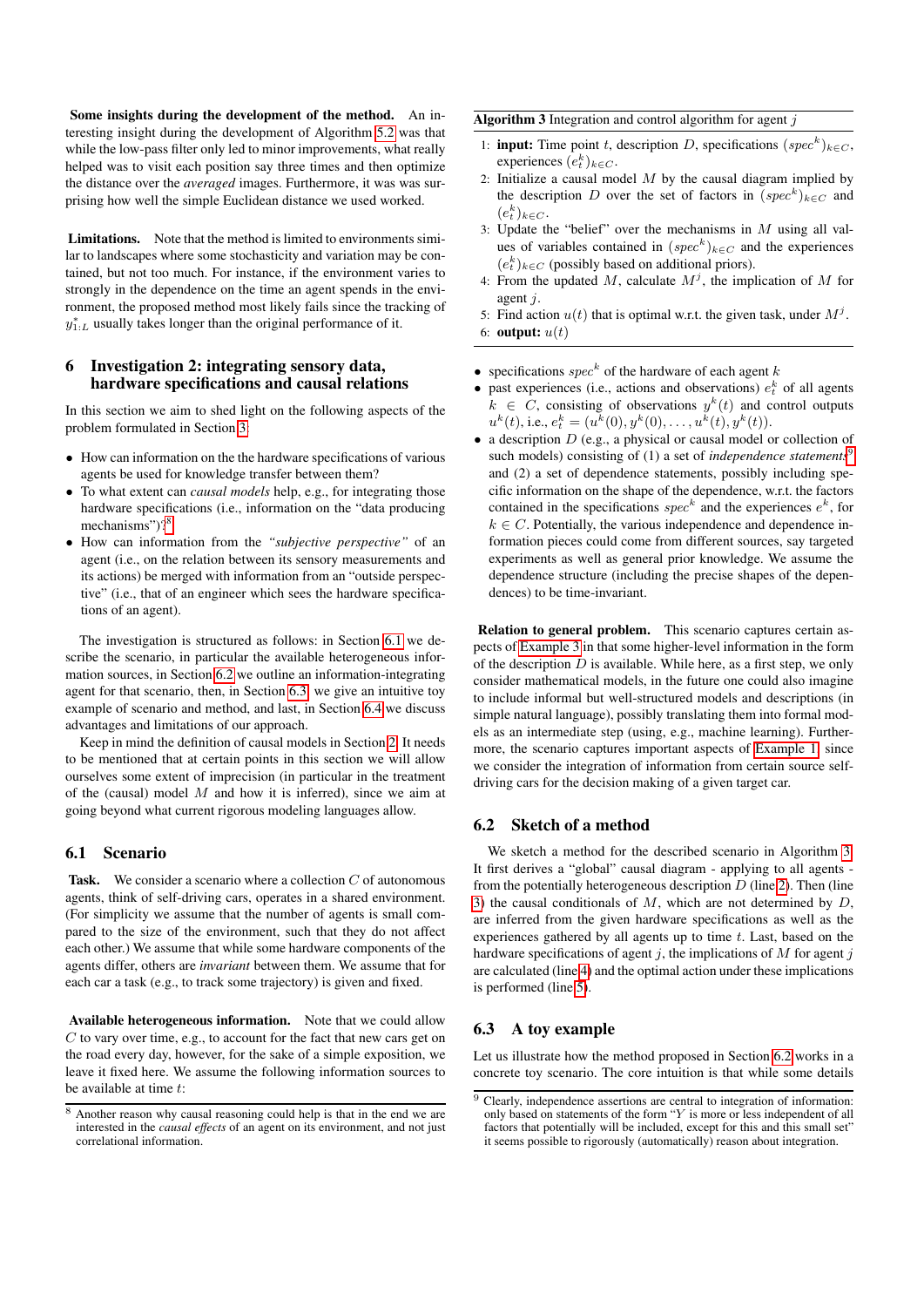Some insights during the development of the method. An interesting insight during the development of Algorithm [5.2](#page-3-2) was that while the low-pass filter only led to minor improvements, what really helped was to visit each position say three times and then optimize the distance over the *averaged* images. Furthermore, it was was surprising how well the simple Euclidean distance we used worked.

Limitations. Note that the method is limited to environments similar to landscapes where some stochasticity and variation may be contained, but not too much. For instance, if the environment varies to strongly in the dependence on the time an agent spends in the environment, the proposed method most likely fails since the tracking of  $y_{1:L}^*$  usually takes longer than the original performance of it.

# <span id="page-5-0"></span>6 Investigation 2: integrating sensory data, hardware specifications and causal relations

In this section we aim to shed light on the following aspects of the problem formulated in Section [3:](#page-1-0)

- How can information on the the hardware specifications of various agents be used for knowledge transfer between them?
- To what extent can *causal models* help, e.g., for integrating those hardware specifications (i.e., information on the "data producing mechanisms")?<sup>[8](#page-5-1)</sup>
- How can information from the *"subjective perspective"* of an agent (i.e., on the relation between its sensory measurements and its actions) be merged with information from an "outside perspective" (i.e., that of an engineer which sees the hardware specifications of an agent).

The investigation is structured as follows: in Section [6.1](#page-5-2) we describe the scenario, in particular the available heterogeneous information sources, in Section [6.2](#page-5-3) we outline an information-integrating agent for that scenario, then, in Section [6.3,](#page-5-4) we give an intuitive toy example of scenario and method, and last, in Section [6.4](#page-6-1) we discuss advantages and limitations of our approach.

Keep in mind the definition of causal models in Section [2.](#page-0-0) It needs to be mentioned that at certain points in this section we will allow ourselves some extent of imprecision (in particular in the treatment of the (causal) model  $M$  and how it is inferred), since we aim at going beyond what current rigorous modeling languages allow.

# <span id="page-5-2"></span>6.1 Scenario

**Task.** We consider a scenario where a collection  $C$  of autonomous agents, think of self-driving cars, operates in a shared environment. (For simplicity we assume that the number of agents is small compared to the size of the environment, such that they do not affect each other.) We assume that while some hardware components of the agents differ, others are *invariant* between them. We assume that for each car a task (e.g., to track some trajectory) is given and fixed.

Available heterogeneous information. Note that we could allow C to vary over time, e.g., to account for the fact that new cars get on the road every day, however, for the sake of a simple exposition, we leave it fixed here. We assume the following information sources to be available at time  $t$ :

<span id="page-5-6"></span>**Algorithm 3** Integration and control algorithm for agent  $j$ 

- <span id="page-5-7"></span>1: **input:** Time point t, description D, specifications  $(spec^k)_{k \in C}$ , experiences  $(e_t^k)_{k \in C}$ .
- 2: Initialize a causal model  $M$  by the causal diagram implied by the description D over the set of factors in  $(spec^k)_{k \in C}$  and  $(e_t^k)_{k\in C}$ .
- <span id="page-5-8"></span>3: Update the "belief" over the mechanisms in  $M$  using all values of variables contained in  $(spec^k)_{k \in C}$  and the experiences  $(e<sub>t</sub><sup>k</sup>)<sub>k∈C</sub>$  (possibly based on additional priors).
- <span id="page-5-10"></span><span id="page-5-9"></span>4: From the updated M, calculate  $M^j$ , the implication of M for agent j.
- 5: Find action  $u(t)$  that is optimal w.r.t. the given task, under  $M^{j}$ . 6: **output:**  $u(t)$
- specifications  $spec^k$  of the hardware of each agent k
- past experiences (i.e., actions and observations)  $e_t^k$  of all agents  $k \in C$ , consisting of observations  $y^k(t)$  and control outputs  $u^{k}(t)$ , i.e.,  $e^{k}_{t} = (u^{k}(0), y^{k}(0), \ldots, u^{k}(t), y^{k}(t)).$
- a description  $D$  (e.g., a physical or causal model or collection of such models) consisting of (1) a set of *independence statements*<sup>[9](#page-5-5)</sup> and (2) a set of dependence statements, possibly including specific information on the shape of the dependence, w.r.t. the factors contained in the specifications  $spec^k$  and the experiences  $e^k$ , for  $k \in C$ . Potentially, the various independence and dependence information pieces could come from different sources, say targeted experiments as well as general prior knowledge. We assume the dependence structure (including the precise shapes of the dependences) to be time-invariant.

Relation to general problem. This scenario captures certain aspects of [Example 3](#page-1-3) in that some higher-level information in the form of the description  $D$  is available. While here, as a first step, we only consider mathematical models, in the future one could also imagine to include informal but well-structured models and descriptions (in simple natural language), possibly translating them into formal models as an intermediate step (using, e.g., machine learning). Furthermore, the scenario captures important aspects of [Example 1,](#page-1-4) since we consider the integration of information from certain source selfdriving cars for the decision making of a given target car.

# <span id="page-5-3"></span>6.2 Sketch of a method

We sketch a method for the described scenario in Algorithm [3.](#page-5-6) It first derives a "global" causal diagram - applying to all agents from the potentially heterogeneous description  $D$  (line [2\)](#page-5-7). Then (line [3\)](#page-5-8) the causal conditionals of  $M$ , which are not determined by  $D$ , are inferred from the given hardware specifications as well as the experiences gathered by all agents up to time  $t$ . Last, based on the hardware specifications of agent  $j$ , the implications of  $M$  for agent  $j$ are calculated (line [4\)](#page-5-9) and the optimal action under these implications is performed (line [5\)](#page-5-10).

# <span id="page-5-4"></span>6.3 A toy example

Let us illustrate how the method proposed in Section [6.2](#page-5-3) works in a concrete toy scenario. The core intuition is that while some details

<span id="page-5-1"></span><sup>8</sup> Another reason why causal reasoning could help is that in the end we are interested in the *causal effects* of an agent on its environment, and not just correlational information.

<span id="page-5-5"></span> $9$  Clearly, independence assertions are central to integration of information: only based on statements of the form "Y is more or less independent of all factors that potentially will be included, except for this and this small set" it seems possible to rigorously (automatically) reason about integration.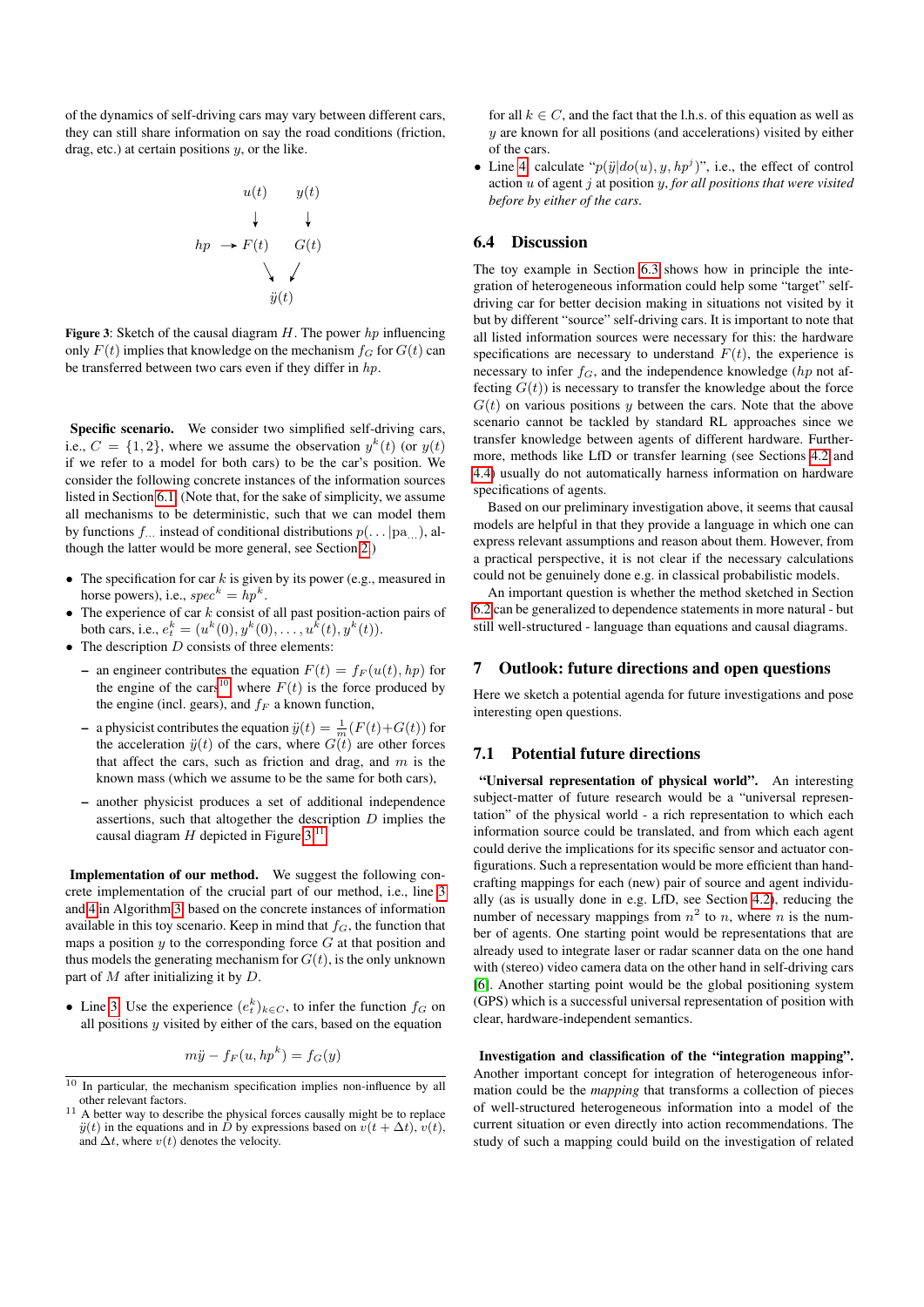<span id="page-6-3"></span>of the dynamics of self-driving cars may vary between different cars, they can still share information on say the road conditions (friction, drag, etc.) at certain positions  $y$ , or the like.

$$
u(t) \qquad y(t)
$$
\n
$$
\downarrow \qquad \downarrow
$$
\n
$$
hp \rightarrow F(t) \qquad G(t)
$$
\n
$$
\searrow \qquad \swarrow
$$
\n
$$
\ddot{y}(t)
$$

Figure 3: Sketch of the causal diagram  $H$ . The power hp influencing only  $F(t)$  implies that knowledge on the mechanism  $f_G$  for  $G(t)$  can be transferred between two cars even if they differ in hp.

Specific scenario. We consider two simplified self-driving cars, i.e.,  $C = \{1, 2\}$ , where we assume the observation  $y^k(t)$  (or  $y(t)$ ) if we refer to a model for both cars) to be the car's position. We consider the following concrete instances of the information sources listed in Section [6.1.](#page-5-2) (Note that, for the sake of simplicity, we assume all mechanisms to be deterministic, such that we can model them by functions  $f_{\dots}$  instead of conditional distributions  $p(\dots | pa_{\dots})$ , although the latter would be more general, see Section [2.](#page-0-0))

- The specification for car  $k$  is given by its power (e.g., measured in horse powers), i.e.,  $spec^k = hp^k$ .
- The experience of car  $k$  consist of all past position-action pairs of both cars, i.e.,  $e_t^k = (u^k(0), y^k(0), \dots, u^k(t), y^k(t)).$
- The description  $D$  consists of three elements:
	- an engineer contributes the equation  $F(t) = f_F(u(t), hp)$  for the engine of the cars<sup>[10](#page-6-2)</sup>, where  $F(t)$  is the force produced by the engine (incl. gears), and  $f_F$  a known function,
	- a physicist contributes the equation  $\ddot{y}(t) = \frac{1}{m}(F(t)+G(t))$  for the acceleration  $\ddot{y}(t)$  of the cars, where  $G(t)$  are other forces that affect the cars, such as friction and drag, and  $m$  is the known mass (which we assume to be the same for both cars),
	- another physicist produces a set of additional independence assertions, such that altogether the description  $D$  implies the causal diagram  $H$  depicted in Figure [3.](#page-6-3)<sup>[11](#page-6-4)</sup>

Implementation of our method. We suggest the following concrete implementation of the crucial part of our method, i.e., line [3](#page-5-8) and [4](#page-5-9) in Algorithm [3,](#page-5-6) based on the concrete instances of information available in this toy scenario. Keep in mind that  $f<sub>G</sub>$ , the function that maps a position  $y$  to the corresponding force  $G$  at that position and thus models the generating mechanism for  $G(t)$ , is the only unknown part of  $M$  after initializing it by  $D$ .

• Line [3:](#page-5-8) Use the experience  $(e_t^k)_{k \in C}$ , to infer the function  $f_G$  on all positions  $y$  visited by either of the cars, based on the equation

$$
m\ddot{y} - f_F(u, hp^k) = f_G(y)
$$

for all  $k \in C$ , and the fact that the l.h.s. of this equation as well as  $y$  are known for all positions (and accelerations) visited by either of the cars.

• Line [4:](#page-5-9) calculate " $p(\ddot{y}|do(u), y, hp^j)$ ", i.e., the effect of control action u of agent j at position y, *for all positions that were visited before by either of the cars*.

#### <span id="page-6-1"></span>6.4 Discussion

The toy example in Section [6.3](#page-5-4) shows how in principle the integration of heterogeneous information could help some "target" selfdriving car for better decision making in situations not visited by it but by different "source" self-driving cars. It is important to note that all listed information sources were necessary for this: the hardware specifications are necessary to understand  $F(t)$ , the experience is necessary to infer  $f_G$ , and the independence knowledge (hp not affecting  $G(t)$ ) is necessary to transfer the knowledge about the force  $G(t)$  on various positions y between the cars. Note that the above scenario cannot be tackled by standard RL approaches since we transfer knowledge between agents of different hardware. Furthermore, methods like LfD or transfer learning (see Sections [4.2](#page-2-2) and [4.4\)](#page-2-3) usually do not automatically harness information on hardware specifications of agents.

Based on our preliminary investigation above, it seems that causal models are helpful in that they provide a language in which one can express relevant assumptions and reason about them. However, from a practical perspective, it is not clear if the necessary calculations could not be genuinely done e.g. in classical probabilistic models.

An important question is whether the method sketched in Section [6.2](#page-5-3) can be generalized to dependence statements in more natural - but still well-structured - language than equations and causal diagrams.

### <span id="page-6-0"></span>7 Outlook: future directions and open questions

Here we sketch a potential agenda for future investigations and pose interesting open questions.

# 7.1 Potential future directions

"Universal representation of physical world". An interesting subject-matter of future research would be a "universal representation" of the physical world - a rich representation to which each information source could be translated, and from which each agent could derive the implications for its specific sensor and actuator configurations. Such a representation would be more efficient than handcrafting mappings for each (new) pair of source and agent individually (as is usually done in e.g. LfD, see Section [4.2\)](#page-2-2), reducing the number of necessary mappings from  $n^2$  to n, where n is the number of agents. One starting point would be representations that are already used to integrate laser or radar scanner data on the one hand with (stereo) video camera data on the other hand in self-driving cars [\[6\]](#page-7-19). Another starting point would be the global positioning system (GPS) which is a successful universal representation of position with clear, hardware-independent semantics.

Investigation and classification of the "integration mapping". Another important concept for integration of heterogeneous information could be the *mapping* that transforms a collection of pieces of well-structured heterogeneous information into a model of the current situation or even directly into action recommendations. The study of such a mapping could build on the investigation of related

<span id="page-6-2"></span> $10$  In particular, the mechanism specification implies non-influence by all other relevant factors.

<span id="page-6-4"></span>A better way to describe the physical forces causally might be to replace  $\ddot{y}(t)$  in the equations and in  $\dot{D}$  by expressions based on  $\ddot{v}(t + \Delta t)$ ,  $v(t)$ , and  $\Delta t$ , where  $v(t)$  denotes the velocity.